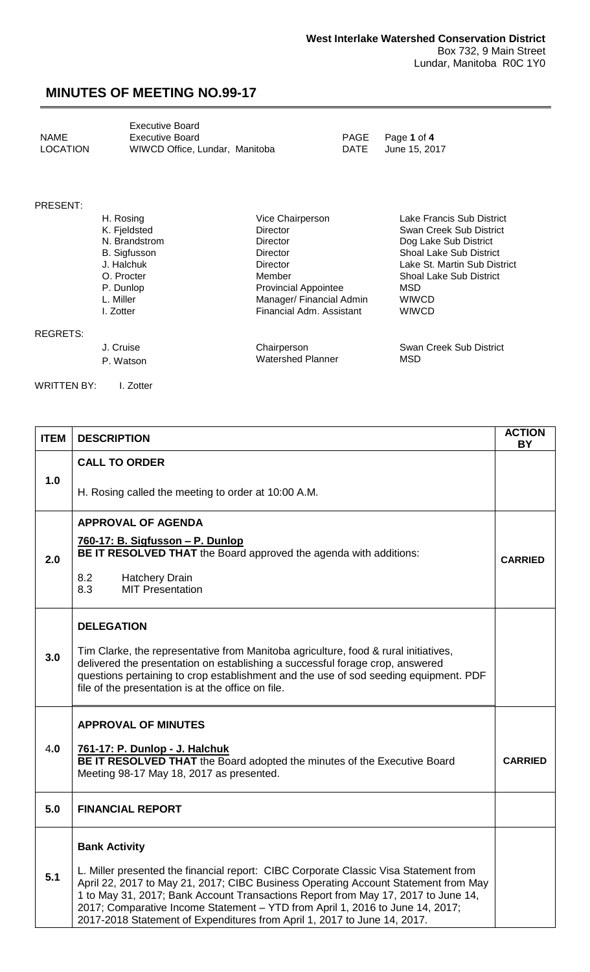<span id="page-0-0"></span>

|          | Executive Board                |      |                  |
|----------|--------------------------------|------|------------------|
| NAME     | Executive Board                |      | PAGE Page 1 of 4 |
| LOCATION | WIWCD Office, Lundar, Manitoba | DATE | June 15. 2017    |

#### PRESENT:

| H. Rosing           | Vice Chairperson            | Lake Francis Sub District      |
|---------------------|-----------------------------|--------------------------------|
| K. Fjeldsted        | <b>Director</b>             | Swan Creek Sub District        |
| N. Brandstrom       | <b>Director</b>             | Dog Lake Sub District          |
| <b>B.</b> Sigfusson | <b>Director</b>             | <b>Shoal Lake Sub District</b> |
| J. Halchuk          | <b>Director</b>             | Lake St. Martin Sub District   |
| O. Procter          | Member                      | <b>Shoal Lake Sub District</b> |
| P. Dunlop           | <b>Provincial Appointee</b> | MSD                            |
| L. Miller           | Manager/ Financial Admin    | <b>WIWCD</b>                   |
| I. Zotter           | Financial Adm. Assistant    | <b>WIWCD</b>                   |
|                     |                             |                                |
|                     |                             |                                |

REGRETS:

J. Cruise Chairperson Chairperson Swan Creek Sub District<br>
P. Watson Creek Sub District<br>
Chairperson Chairperson Swan Creek Sub District J. Cruise Chairperson<br>
P. Watson Matershed Planner

WRITTEN BY: I. Zotter

| <b>ITEM</b> | <b>DESCRIPTION</b>                                                                                                                                                                                                                                                                                                                                                                                                                                   | <b>ACTION</b><br>BY |
|-------------|------------------------------------------------------------------------------------------------------------------------------------------------------------------------------------------------------------------------------------------------------------------------------------------------------------------------------------------------------------------------------------------------------------------------------------------------------|---------------------|
| 1.0         | <b>CALL TO ORDER</b>                                                                                                                                                                                                                                                                                                                                                                                                                                 |                     |
|             | H. Rosing called the meeting to order at 10:00 A.M.                                                                                                                                                                                                                                                                                                                                                                                                  |                     |
| 2.0         | <b>APPROVAL OF AGENDA</b><br>760-17: B. Sigfusson - P. Dunlop<br>BE IT RESOLVED THAT the Board approved the agenda with additions:<br>8.2<br><b>Hatchery Drain</b><br><b>MIT Presentation</b><br>8.3                                                                                                                                                                                                                                                 | <b>CARRIED</b>      |
| 3.0         | <b>DELEGATION</b><br>Tim Clarke, the representative from Manitoba agriculture, food & rural initiatives,<br>delivered the presentation on establishing a successful forage crop, answered<br>questions pertaining to crop establishment and the use of sod seeding equipment. PDF<br>file of the presentation is at the office on file.                                                                                                              |                     |
| 4.0         | <b>APPROVAL OF MINUTES</b><br>761-17: P. Dunlop - J. Halchuk<br>BE IT RESOLVED THAT the Board adopted the minutes of the Executive Board<br>Meeting 98-17 May 18, 2017 as presented.                                                                                                                                                                                                                                                                 | <b>CARRIED</b>      |
| 5.0         | <b>FINANCIAL REPORT</b>                                                                                                                                                                                                                                                                                                                                                                                                                              |                     |
| 5.1         | <b>Bank Activity</b><br>L. Miller presented the financial report: CIBC Corporate Classic Visa Statement from<br>April 22, 2017 to May 21, 2017; CIBC Business Operating Account Statement from May<br>1 to May 31, 2017; Bank Account Transactions Report from May 17, 2017 to June 14,<br>2017; Comparative Income Statement - YTD from April 1, 2016 to June 14, 2017;<br>2017-2018 Statement of Expenditures from April 1, 2017 to June 14, 2017. |                     |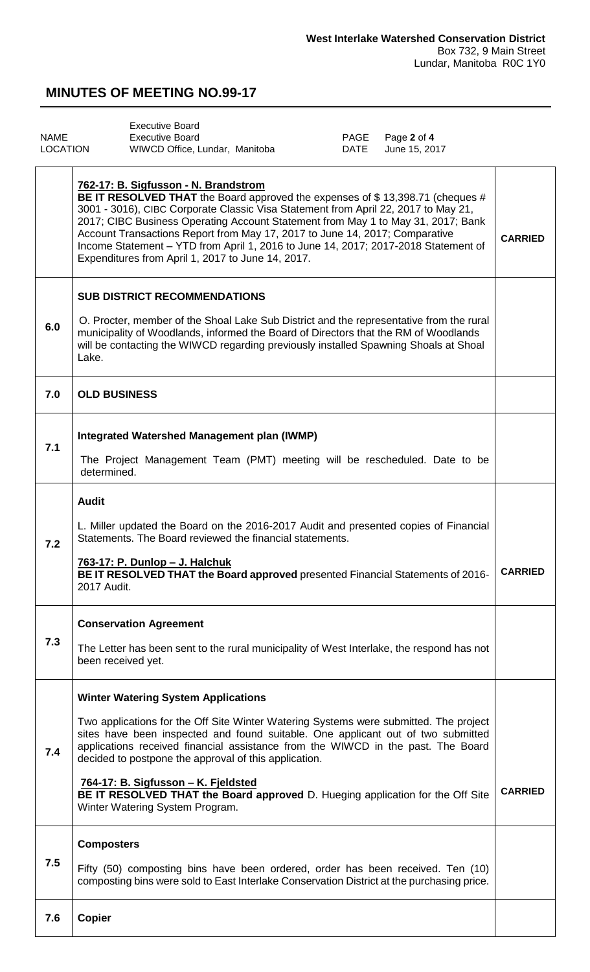<span id="page-1-0"></span>

|                 | Executive Board                |      |                  |
|-----------------|--------------------------------|------|------------------|
| NAME            | Executive Board                |      | PAGE Page 2 of 4 |
| <b>LOCATION</b> | WIWCD Office, Lundar, Manitoba | DATE | June 15, 2017    |

|     | 762-17: B. Sigfusson - N. Brandstrom<br>BE IT RESOLVED THAT the Board approved the expenses of \$13,398.71 (cheques #<br>3001 - 3016), CIBC Corporate Classic Visa Statement from April 22, 2017 to May 21,<br>2017; CIBC Business Operating Account Statement from May 1 to May 31, 2017; Bank<br>Account Transactions Report from May 17, 2017 to June 14, 2017; Comparative<br>Income Statement - YTD from April 1, 2016 to June 14, 2017; 2017-2018 Statement of<br>Expenditures from April 1, 2017 to June 14, 2017.        | <b>CARRIED</b> |
|-----|----------------------------------------------------------------------------------------------------------------------------------------------------------------------------------------------------------------------------------------------------------------------------------------------------------------------------------------------------------------------------------------------------------------------------------------------------------------------------------------------------------------------------------|----------------|
| 6.0 | <b>SUB DISTRICT RECOMMENDATIONS</b><br>O. Procter, member of the Shoal Lake Sub District and the representative from the rural<br>municipality of Woodlands, informed the Board of Directors that the RM of Woodlands<br>will be contacting the WIWCD regarding previously installed Spawning Shoals at Shoal<br>Lake.                                                                                                                                                                                                           |                |
| 7.0 | <b>OLD BUSINESS</b>                                                                                                                                                                                                                                                                                                                                                                                                                                                                                                              |                |
| 7.1 | Integrated Watershed Management plan (IWMP)<br>The Project Management Team (PMT) meeting will be rescheduled. Date to be<br>determined.                                                                                                                                                                                                                                                                                                                                                                                          |                |
| 7.2 | <b>Audit</b><br>L. Miller updated the Board on the 2016-2017 Audit and presented copies of Financial<br>Statements. The Board reviewed the financial statements.<br>763-17: P. Dunlop - J. Halchuk<br>BE IT RESOLVED THAT the Board approved presented Financial Statements of 2016-<br>2017 Audit.                                                                                                                                                                                                                              | <b>CARRIED</b> |
| 7.3 | <b>Conservation Agreement</b><br>The Letter has been sent to the rural municipality of West Interlake, the respond has not<br>been received yet.                                                                                                                                                                                                                                                                                                                                                                                 |                |
| 7.4 | <b>Winter Watering System Applications</b><br>Two applications for the Off Site Winter Watering Systems were submitted. The project<br>sites have been inspected and found suitable. One applicant out of two submitted<br>applications received financial assistance from the WIWCD in the past. The Board<br>decided to postpone the approval of this application.<br>764-17: B. Sigfusson - K. Fjeldsted<br>BE IT RESOLVED THAT the Board approved D. Hueging application for the Off Site<br>Winter Watering System Program. | <b>CARRIED</b> |
| 7.5 | <b>Composters</b><br>Fifty (50) composting bins have been ordered, order has been received. Ten (10)<br>composting bins were sold to East Interlake Conservation District at the purchasing price.                                                                                                                                                                                                                                                                                                                               |                |
| 7.6 | <b>Copier</b>                                                                                                                                                                                                                                                                                                                                                                                                                                                                                                                    |                |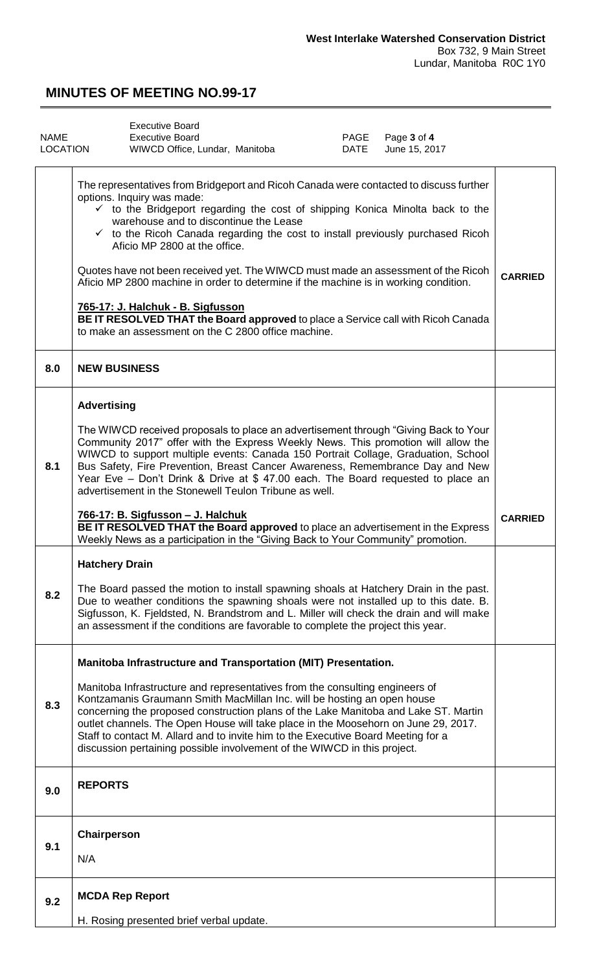<span id="page-2-0"></span>

| <b>NAME</b><br><b>LOCATION</b> | <b>Executive Board</b><br><b>Executive Board</b><br>WIWCD Office, Lundar, Manitoba                                                                                                                                                                                                                                                                                                                                                                                                                                                                                                                                                                                                                                                                    | PAGE<br>DATE | Page 3 of 4<br>June 15, 2017 |                |
|--------------------------------|-------------------------------------------------------------------------------------------------------------------------------------------------------------------------------------------------------------------------------------------------------------------------------------------------------------------------------------------------------------------------------------------------------------------------------------------------------------------------------------------------------------------------------------------------------------------------------------------------------------------------------------------------------------------------------------------------------------------------------------------------------|--------------|------------------------------|----------------|
|                                | The representatives from Bridgeport and Ricoh Canada were contacted to discuss further<br>options. Inquiry was made:<br>$\checkmark$ to the Bridgeport regarding the cost of shipping Konica Minolta back to the<br>warehouse and to discontinue the Lease<br>$\checkmark$ to the Ricoh Canada regarding the cost to install previously purchased Ricoh<br>Aficio MP 2800 at the office.<br>Quotes have not been received yet. The WIWCD must made an assessment of the Ricoh<br>Aficio MP 2800 machine in order to determine if the machine is in working condition.<br>765-17: J. Halchuk - B. Sigfusson<br>BE IT RESOLVED THAT the Board approved to place a Service call with Ricoh Canada<br>to make an assessment on the C 2800 office machine. |              |                              | <b>CARRIED</b> |
| 8.0                            | <b>NEW BUSINESS</b>                                                                                                                                                                                                                                                                                                                                                                                                                                                                                                                                                                                                                                                                                                                                   |              |                              |                |
| 8.1                            | <b>Advertising</b><br>The WIWCD received proposals to place an advertisement through "Giving Back to Your<br>Community 2017" offer with the Express Weekly News. This promotion will allow the<br>WIWCD to support multiple events: Canada 150 Portrait Collage, Graduation, School<br>Bus Safety, Fire Prevention, Breast Cancer Awareness, Remembrance Day and New<br>Year Eve - Don't Drink & Drive at \$47.00 each. The Board requested to place an<br>advertisement in the Stonewell Teulon Tribune as well.                                                                                                                                                                                                                                     |              |                              |                |
|                                | 766-17: B. Sigfusson - J. Halchuk<br>BE IT RESOLVED THAT the Board approved to place an advertisement in the Express<br>Weekly News as a participation in the "Giving Back to Your Community" promotion.                                                                                                                                                                                                                                                                                                                                                                                                                                                                                                                                              |              |                              | <b>CARRIED</b> |
| 8.2                            | <b>Hatchery Drain</b><br>The Board passed the motion to install spawning shoals at Hatchery Drain in the past.<br>Due to weather conditions the spawning shoals were not installed up to this date. B.<br>Sigfusson, K. Fjeldsted, N. Brandstrom and L. Miller will check the drain and will make<br>an assessment if the conditions are favorable to complete the project this year.                                                                                                                                                                                                                                                                                                                                                                 |              |                              |                |
| 8.3                            | Manitoba Infrastructure and Transportation (MIT) Presentation.<br>Manitoba Infrastructure and representatives from the consulting engineers of<br>Kontzamanis Graumann Smith MacMillan Inc. will be hosting an open house<br>concerning the proposed construction plans of the Lake Manitoba and Lake ST. Martin<br>outlet channels. The Open House will take place in the Moosehorn on June 29, 2017.<br>Staff to contact M. Allard and to invite him to the Executive Board Meeting for a<br>discussion pertaining possible involvement of the WIWCD in this project.                                                                                                                                                                               |              |                              |                |
| 9.0                            | <b>REPORTS</b>                                                                                                                                                                                                                                                                                                                                                                                                                                                                                                                                                                                                                                                                                                                                        |              |                              |                |
| 9.1                            | Chairperson<br>N/A                                                                                                                                                                                                                                                                                                                                                                                                                                                                                                                                                                                                                                                                                                                                    |              |                              |                |
| 9.2                            | <b>MCDA Rep Report</b>                                                                                                                                                                                                                                                                                                                                                                                                                                                                                                                                                                                                                                                                                                                                |              |                              |                |
|                                | H. Rosing presented brief verbal update.                                                                                                                                                                                                                                                                                                                                                                                                                                                                                                                                                                                                                                                                                                              |              |                              |                |